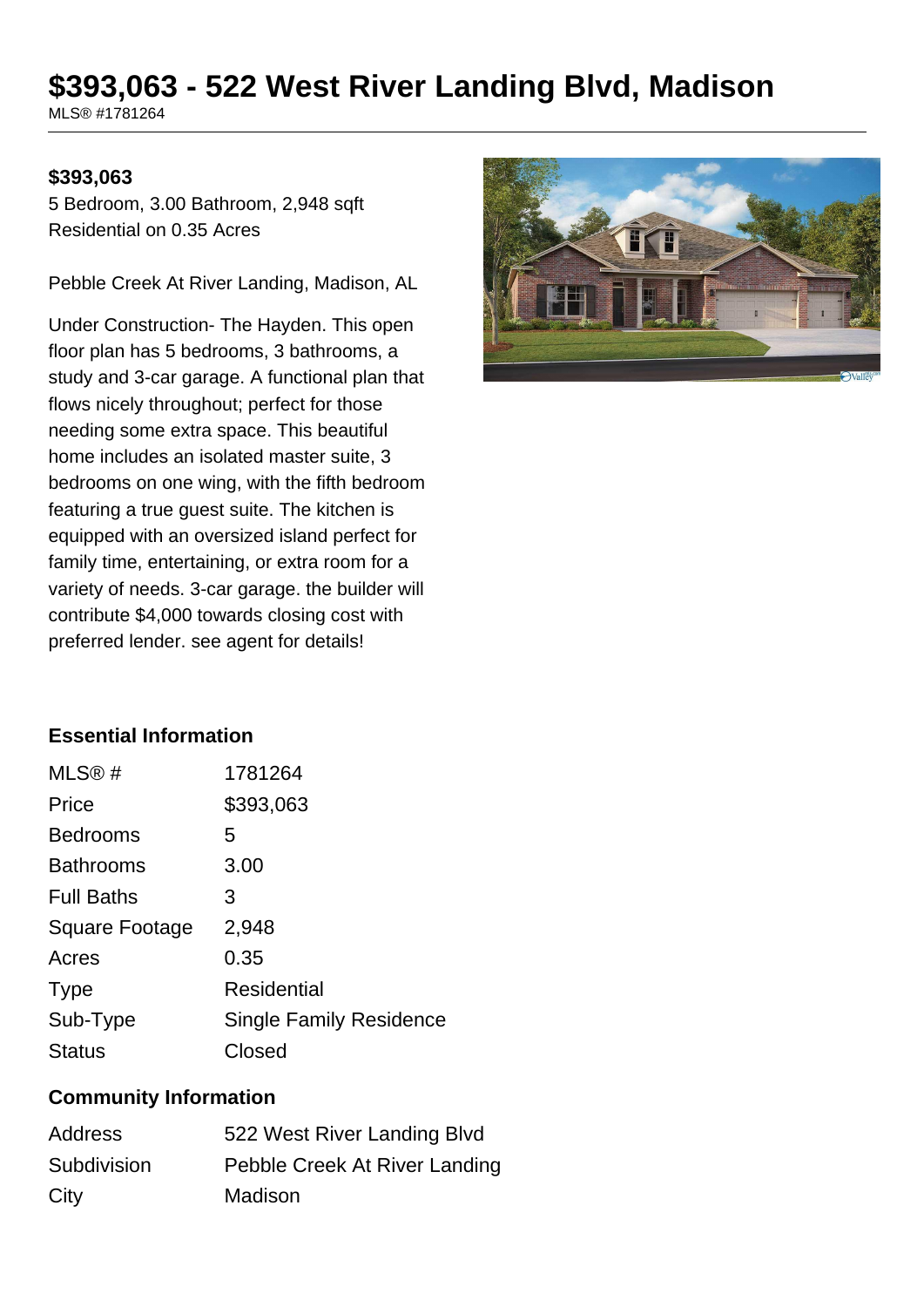# **\$393,063 - 522 West River Landing Blvd, Madison**

MLS® #1781264

#### **\$393,063**

5 Bedroom, 3.00 Bathroom, 2,948 sqft Residential on 0.35 Acres

Pebble Creek At River Landing, Madison, AL

Under Construction- The Hayden. This open floor plan has 5 bedrooms, 3 bathrooms, a study and 3-car garage. A functional plan that flows nicely throughout; perfect for those needing some extra space. This beautiful home includes an isolated master suite, 3 bedrooms on one wing, with the fifth bedroom featuring a true guest suite. The kitchen is equipped with an oversized island perfect for family time, entertaining, or extra room for a variety of needs. 3-car garage. the builder will contribute \$4,000 towards closing cost with preferred lender. see agent for details!



### **Essential Information**

| MLS@#                 | 1781264                        |
|-----------------------|--------------------------------|
| Price                 | \$393,063                      |
| <b>Bedrooms</b>       | 5                              |
| <b>Bathrooms</b>      | 3.00                           |
| <b>Full Baths</b>     | З                              |
| <b>Square Footage</b> | 2,948                          |
| Acres                 | 0.35                           |
| <b>Type</b>           | Residential                    |
| Sub-Type              | <b>Single Family Residence</b> |
| <b>Status</b>         | Closed                         |

#### **Community Information**

| Address     | 522 West River Landing Blvd   |
|-------------|-------------------------------|
| Subdivision | Pebble Creek At River Landing |
| City        | Madison                       |